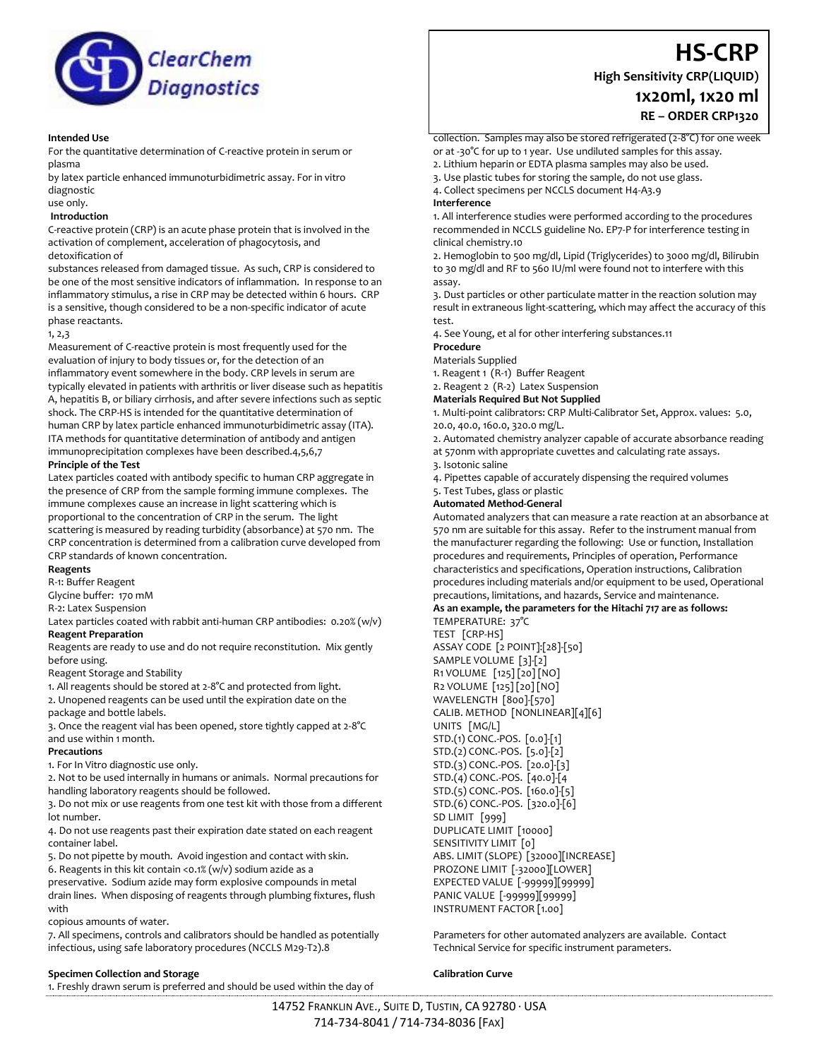

## **Intended Use**

For the quantitative determination of C-reactive protein in serum or plasma

by latex particle enhanced immunoturbidimetric assay. For in vitro diagnostic

### use only.

### **Introduction**

C-reactive protein (CRP) is an acute phase protein that is involved in the activation of complement, acceleration of phagocytosis, and detoxification of

substances released from damaged tissue. As such, CRP is considered to be one of the most sensitive indicators of inflammation. In response to an inflammatory stimulus, a rise in CRP may be detected within 6 hours. CRP is a sensitive, though considered to be a non-specific indicator of acute phase reactants.

#### 1, 2,3

Measurement of C-reactive protein is most frequently used for the evaluation of injury to body tissues or, for the detection of an inflammatory event somewhere in the body. CRP levels in serum are typically elevated in patients with arthritis or liver disease such as hepatitis A, hepatitis B, or biliary cirrhosis, and after severe infections such as septic shock. The CRP-HS is intended for the quantitative determination of human CRP by latex particle enhanced immunoturbidimetric assay (ITA). ITA methods for quantitative determination of antibody and antigen immunoprecipitation complexes have been described.4,5,6,7

## **Principle of the Test**

Latex particles coated with antibody specific to human CRP aggregate in the presence of CRP from the sample forming immune complexes. The immune complexes cause an increase in light scattering which is proportional to the concentration of CRP in the serum. The light scattering is measured by reading turbidity (absorbance) at 570 nm. The CRP concentration is determined from a calibration curve developed from CRP standards of known concentration.

## **Reagents**

R-1: Buffer Reagent

Glycine buffer: 170 mM

R-2: Latex Suspension

Latex particles coated with rabbit anti-human CRP antibodies: 0.20% (w/v) **Reagent Preparation** 

Reagents are ready to use and do not require reconstitution. Mix gently before using.

Reagent Storage and Stability

1. All reagents should be stored at 2-8°C and protected from light. 2. Unopened reagents can be used until the expiration date on the package and bottle labels.

3. Once the reagent vial has been opened, store tightly capped at 2-8°C and use within 1 month.

#### **Precautions**

1. For In Vitro diagnostic use only.

2. Not to be used internally in humans or animals. Normal precautions for handling laboratory reagents should be followed.

3. Do not mix or use reagents from one test kit with those from a different lot number.

4. Do not use reagents past their expiration date stated on each reagent container label.

5. Do not pipette by mouth. Avoid ingestion and contact with skin.

6. Reagents in this kit contain <0.1% (w/v) sodium azide as a

preservative. Sodium azide may form explosive compounds in metal drain lines. When disposing of reagents through plumbing fixtures, flush with

copious amounts of water.

7. All specimens, controls and calibrators should be handled as potentially infectious, using safe laboratory procedures (NCCLS M29-T2).8

#### **Specimen Collection and Storage**

1. Freshly drawn serum is preferred and should be used within the day of

**High Sensitivity CRP(LIQUID)**

# **1x20ml, 1x20 ml**

**RE – ORDER CRP1320**

**HS-CRP**

collection. Samples may also be stored refrigerated (2-8°C) for one week

or at -30°C for up to 1 year. Use undiluted samples for this assay.

2. Lithium heparin or EDTA plasma samples may also be used.

3. Use plastic tubes for storing the sample, do not use glass. 4. Collect specimens per NCCLS document H4-A3.9

#### **Interference**

1. All interference studies were performed according to the procedures recommended in NCCLS guideline No. EP7-P for interference testing in clinical chemistry.10

2. Hemoglobin to 500 mg/dl, Lipid (Triglycerides) to 3000 mg/dl, Bilirubin to 30 mg/dl and RF to 560 IU/ml were found not to interfere with this assay.

3. Dust particles or other particulate matter in the reaction solution may result in extraneous light-scattering, which may affect the accuracy of this test.

4. See Young, et al for other interfering substances.11

**Procedure**

Materials Supplied

1. Reagent 1 (R-1) Buffer Reagent

2. Reagent 2 (R-2) Latex Suspension

## **Materials Required But Not Supplied**

1. Multi-point calibrators: CRP Multi-Calibrator Set, Approx. values: 5.0, 20.0, 40.0, 160.0, 320.0 mg/L.

2. Automated chemistry analyzer capable of accurate absorbance reading at 570nm with appropriate cuvettes and calculating rate assays.

3. Isotonic saline

4. Pipettes capable of accurately dispensing the required volumes

5. Test Tubes, glass or plastic

#### **Automated Method-General**

Automated analyzers that can measure a rate reaction at an absorbance at 570 nm are suitable for this assay. Refer to the instrument manual from the manufacturer regarding the following: Use or function, Installation procedures and requirements, Principles of operation, Performance characteristics and specifications, Operation instructions, Calibration procedures including materials and/or equipment to be used, Operational precautions, limitations, and hazards, Service and maintenance.

## **As an example, the parameters for the Hitachi 717 are as follows:**

TEMPERATURE: 37°C TEST [CRP-HS] ASSAY CODE [2 POINT]:[28]-[50] SAMPLE VOLUME [3]-[2] R1 VOLUME [125] [20] [NO] R2 VOLUME [125] [20] [NO] WAVELENGTH [800]-[570] CALIB. METHOD [NONLINEAR][4][6] UNITS [MG/L] STD.(1) CONC.-POS. [0.0]-[1] STD.(2) CONC.-POS. [5.0]-[2] STD.(3) CONC.-POS. [20.0]-[3] STD.(4) CONC.-POS. [40.0]-[4 STD.(5) CONC.-POS. [160.0]-[5] STD.(6) CONC.-POS. [320.0]-[6] SD LIMIT [999] DUPLICATE LIMIT [10000] SENSITIVITY LIMIT [0] ABS. LIMIT (SLOPE) [32000][INCREASE] PROZONE LIMIT [-32000][LOWER] EXPECTED VALUE [-99999][99999] PANIC VALUE [-99999][99999] INSTRUMENT FACTOR [1.00]

Parameters for other automated analyzers are available. Contact Technical Service for specific instrument parameters.

#### **Calibration Curve**